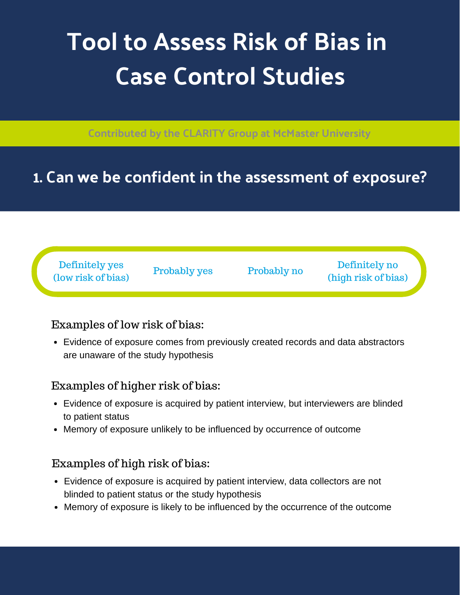# **Tool to Assess Risk of Bias in Case Control Studies**

**Contributed by the CLARITY Group at McMaster University**

## **1. Can we be confident in the assessment of exposure?**

Definitely yes (low risk of bias)

Probably yes Probably no

Definitely no (high risk of bias)

### Examples of low risk of bias:

Evidence of exposure comes from previously created records and data abstractors are unaware of the study hypothesis

### Examples of higher risk of bias:

- Evidence of exposure is acquired by patient interview, but interviewers are blinded to patient status
- Memory of exposure unlikely to be influenced by occurrence of outcome

### Examples of high risk of bias:

- Evidence of exposure is acquired by patient interview, data collectors are not blinded to patient status or the study hypothesis
- Memory of exposure is likely to be influenced by the occurrence of the outcome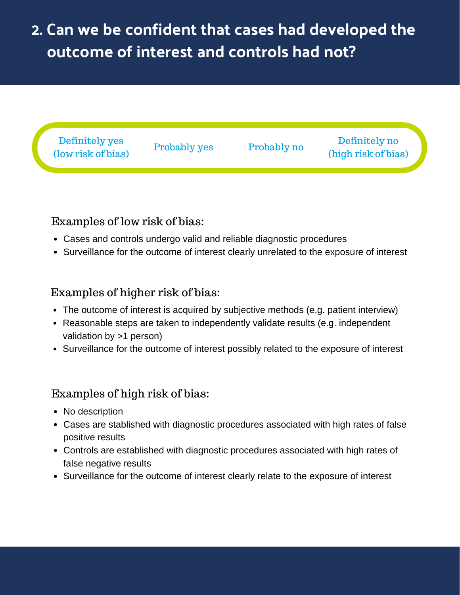# **2. Can we be confident that cases had developed the outcome of interest and controls had not?**



#### Examples of low risk of bias:

- Cases and controls undergo valid and reliable diagnostic procedures
- Surveillance for the outcome of interest clearly unrelated to the exposure of interest

#### Examples of higher risk of bias:

- The outcome of interest is acquired by subjective methods (e.g. patient interview)
- Reasonable steps are taken to independently validate results (e.g. independent validation by >1 person)
- Surveillance for the outcome of interest possibly related to the exposure of interest

#### Examples of high risk of bias:

- No description
- Cases are stablished with diagnostic procedures associated with high rates of false positive results
- Controls are established with diagnostic procedures associated with high rates of false negative results
- Surveillance for the outcome of interest clearly relate to the exposure of interest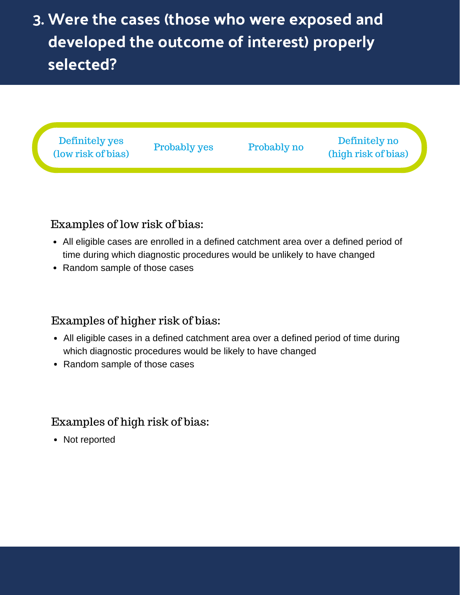# **3. Were the cases (those who were exposed and developed the outcome of interest) properly selected?**



#### Examples of low risk of bias:

- All eligible cases are enrolled in a defined catchment area over a defined period of time during which diagnostic procedures would be unlikely to have changed
- Random sample of those cases

#### Examples of higher risk of bias:

- All eligible cases in a defined catchment area over a defined period of time during which diagnostic procedures would be likely to have changed
- Random sample of those cases

#### Examples of high risk of bias:

• Not reported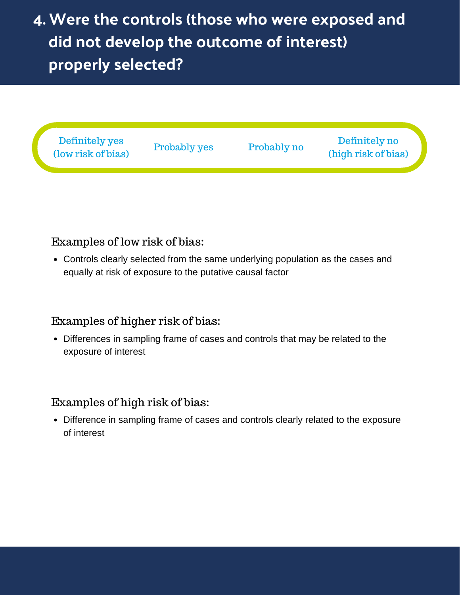# **4. Were the controls (those who were exposed and did not develop the outcome of interest) properly selected?**



#### Examples of low risk of bias:

Controls clearly selected from the same underlying population as the cases and equally at risk of exposure to the putative causal factor

#### Examples of higher risk of bias:

Differences in sampling frame of cases and controls that may be related to the exposure of interest

#### Examples of high risk of bias:

Difference in sampling frame of cases and controls clearly related to the exposure of interest